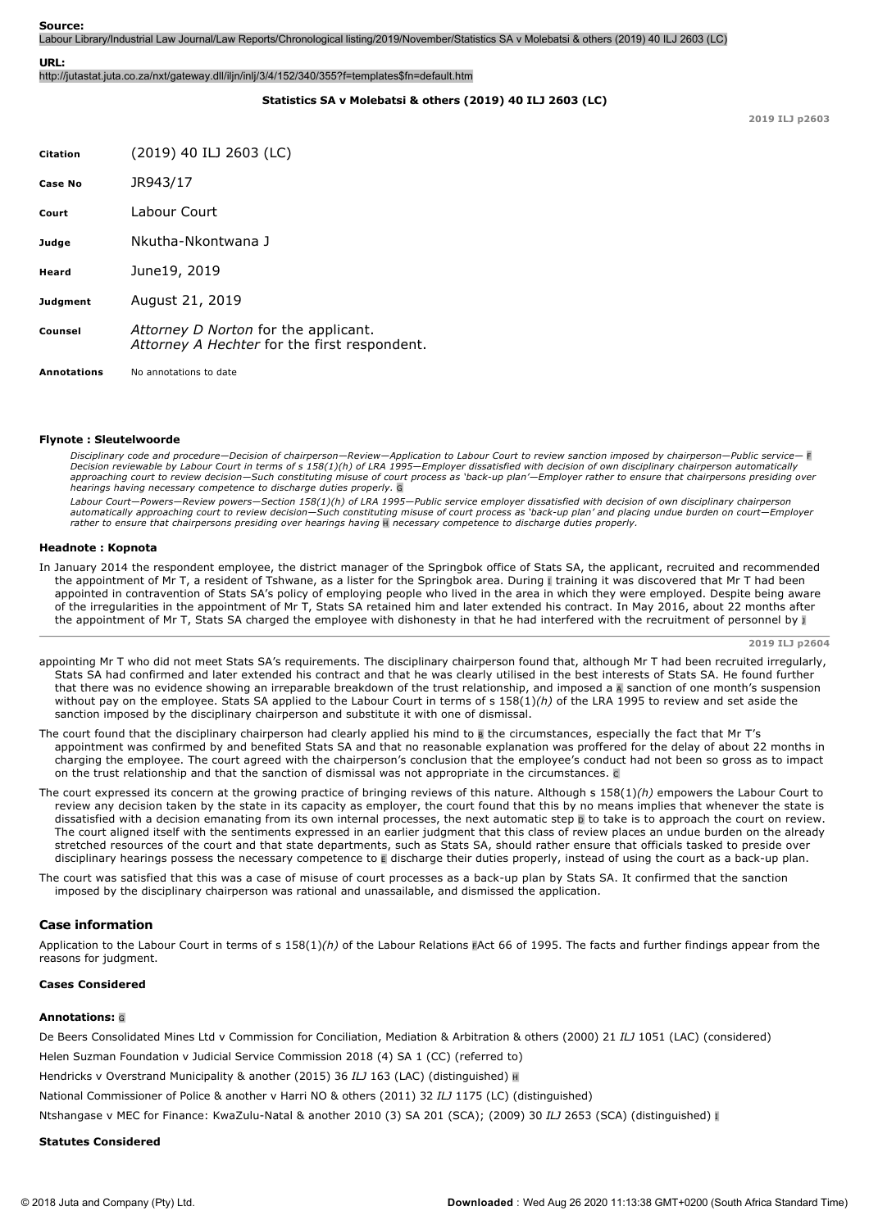Labour Library/Industrial Law Journal/Law Reports/Chronological listing/2019/November/Statistics SA v Molebatsi & others (2019) 40 ILJ 2603 (LC)

#### **URL:**

http://jutastat.juta.co.za/nxt/gateway.dll/iljn/inlj/3/4/152/340/355?f=templates\$fn=default.htm

# **Statistics SA v Molebatsi & others (2019) 40 ILJ 2603 (LC)**

**2019 ILJ p2603**

| <b>Citation</b>    | (2019) 40 ILJ 2603 (LC)                                                              |
|--------------------|--------------------------------------------------------------------------------------|
| Case No            | JR943/17                                                                             |
| Court              | Labour Court                                                                         |
| Judge              | Nkutha-Nkontwana 1                                                                   |
| Heard              | June19, 2019                                                                         |
| Judgment           | August 21, 2019                                                                      |
| Counsel            | Attorney D Norton for the applicant.<br>Attorney A Hechter for the first respondent. |
| <b>Annotations</b> | No annotations to date                                                               |

#### **Flynote : Sleutelwoorde**

*Disciplinary code and procedure—Decision of chairperson—Review—Application to Labour Court to review sanction imposed by chairperson—Public service—* F *Decision reviewable by Labour Court in terms of s 158(1)(h) of LRA 1995—Employer dissatisfied with decision of own disciplinary chairperson automatically* approaching court to review decision—Such constituting misuse of court process as 'back-up plan'—Employer rather to ensure that chairpersons presiding over<br>hearings having necessary competence to discharge duties properly.

*Labour Court—Powers—Review powers—Section 158(1)(h) of LRA 1995—Public service employer dissatisfied with decision of own disciplinary chairperson automatically approaching court to review decision—Such constituting misuse of court process as 'backup plan' and placing undue burden on court—Employer rather to ensure that chairpersons presiding over hearings having* H *necessary competence to discharge duties properly.*

#### **Headnote : Kopnota**

In January 2014 the respondent employee, the district manager of the Springbok office of Stats SA, the applicant, recruited and recommended the appointment of Mr T, a resident of Tshwane, as a lister for the Springbok area. During I training it was discovered that Mr T had been appointed in contravention of Stats SA's policy of employing people who lived in the area in which they were employed. Despite being aware of the irregularities in the appointment of Mr T, Stats SA retained him and later extended his contract. In May 2016, about 22 months after the appointment of Mr T, Stats SA charged the employee with dishonesty in that he had interfered with the recruitment of personnel by J

**2019 ILJ p2604**

- appointing Mr T who did not meet Stats SA's requirements. The disciplinary chairperson found that, although Mr T had been recruited irregularly, Stats SA had confirmed and later extended his contract and that he was clearly utilised in the best interests of Stats SA. He found further that there was no evidence showing an irreparable breakdown of the trust relationship, and imposed a A sanction of one month's suspension without pay on the employee. Stats SA applied to the Labour Court in terms of s 158(1)*(h)* of the LRA 1995 to review and set aside the sanction imposed by the disciplinary chairperson and substitute it with one of dismissal.
- The court found that the disciplinary chairperson had clearly applied his mind to B the circumstances, especially the fact that Mr T's appointment was confirmed by and benefited Stats SA and that no reasonable explanation was proffered for the delay of about 22 months in charging the employee. The court agreed with the chairperson's conclusion that the employee's conduct had not been so gross as to impact on the trust relationship and that the sanction of dismissal was not appropriate in the circumstances.  $\epsilon$
- The court expressed its concern at the growing practice of bringing reviews of this nature. Although s 158(1)*(h)* empowers the Labour Court to review any decision taken by the state in its capacity as employer, the court found that this by no means implies that whenever the state is dissatisfied with a decision emanating from its own internal processes, the next automatic step  $\overline{p}$  to take is to approach the court on review. The court aligned itself with the sentiments expressed in an earlier judgment that this class of review places an undue burden on the already stretched resources of the court and that state departments, such as Stats SA, should rather ensure that officials tasked to preside over disciplinary hearings possess the necessary competence to E discharge their duties properly, instead of using the court as a back-up plan.
- The court was satisfied that this was a case of misuse of court processes as a back-up plan by Stats SA. It confirmed that the sanction imposed by the disciplinary chairperson was rational and unassailable, and dismissed the application.

# **Case information**

Application to the Labour Court in terms of s 158(1)*(h)* of the Labour Relations FAct 66 of 1995. The facts and further findings appear from the reasons for judgment.

# **Cases Considered**

#### **Annotations:** <sup>G</sup>

De Beers Consolidated Mines Ltd v Commission for Conciliation, Mediation & Arbitration & others (2000) 21 *ILJ* 1051 (LAC) (considered)

Helen Suzman Foundation v Judicial Service Commission 2018 (4) SA 1 (CC) (referred to)

Hendricks v Overstrand Municipality & another (2015) 36 *ILJ* 163 (LAC) (distinguished) <sup>H</sup>

National Commissioner of Police & another v Harri NO & others (2011) 32 *ILJ* 1175 (LC) (distinguished)

Ntshangase v MEC for Finance: KwaZulu-Natal & another 2010 (3) SA 201 (SCA); (2009) 30 ILJ 2653 (SCA) (distinguished) I

#### **Statutes Considered**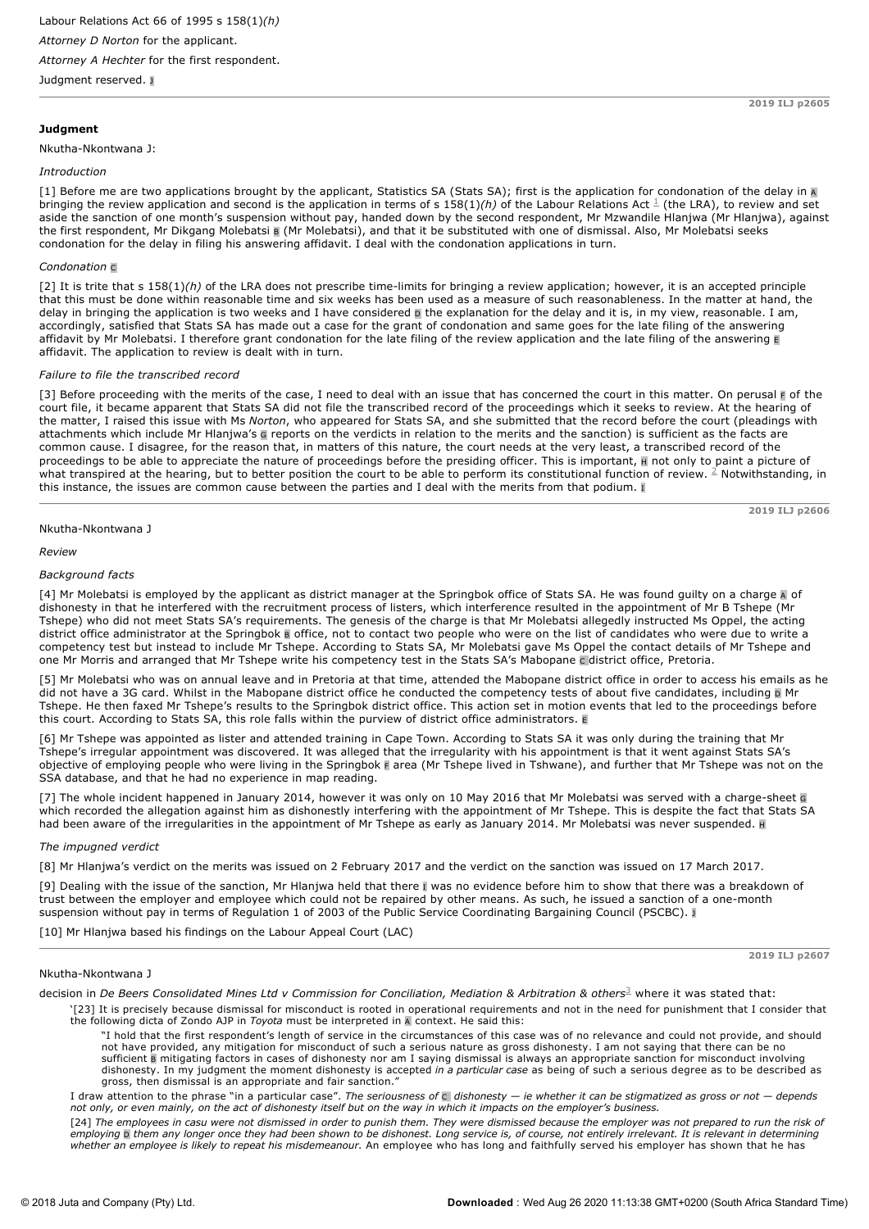Judgment reserved. <sup>J</sup>

# **Judgment**

# Nkutha-Nkontwana J:

# *Introduction*

[1] Before me are two applications brought by the applicant, Statistics SA (Stats SA); first is the application for condonation of the delay in A bringing the review application and second is the application in terms of s 158(1)(h) of the Labour Relations Act  $^{\frac{1}{-}}$  (the LRA), to review and set aside the sanction of one month's suspension without pay, handed down by the second respondent, Mr Mzwandile Hlanjwa (Mr Hlanjwa), against the first respondent, Mr Dikgang Molebatsi B (Mr Molebatsi), and that it be substituted with one of dismissal. Also, Mr Molebatsi seeks condonation for the delay in filing his answering affidavit. I deal with the condonation applications in turn.

# *Condonation* <sup>C</sup>

[2] It is trite that s 158(1)(h) of the LRA does not prescribe time-limits for bringing a review application; however, it is an accepted principle that this must be done within reasonable time and six weeks has been used as a measure of such reasonableness. In the matter at hand, the delay in bringing the application is two weeks and I have considered  $\overline{p}$  the explanation for the delay and it is, in my view, reasonable. I am, accordingly, satisfied that Stats SA has made out a case for the grant of condonation and same goes for the late filing of the answering affidavit by Mr Molebatsi. I therefore grant condonation for the late filing of the review application and the late filing of the answering <sup>E</sup> affidavit. The application to review is dealt with in turn.

### *Failure to file the transcribed record*

[3] Before proceeding with the merits of the case, I need to deal with an issue that has concerned the court in this matter. On perusal  $\bar{E}$  of the court file, it became apparent that Stats SA did not file the transcribed record of the proceedings which it seeks to review. At the hearing of the matter, I raised this issue with Ms *Norton*, who appeared for Stats SA, and she submitted that the record before the court (pleadings with attachments which include Mr Hlanjwa's G reports on the verdicts in relation to the merits and the sanction) is sufficient as the facts are common cause. I disagree, for the reason that, in matters of this nature, the court needs at the very least, a transcribed record of the proceedings to be able to appreciate the nature of proceedings before the presiding officer. This is important,  $\blacksquare$  not only to paint a picture of what transpired at the hearing, but to better position the court to be able to perform its constitutional function of review.  $^2$  Notwithstanding, in this instance, the issues are common cause between the parties and I deal with the merits from that podium. I

Nkutha-Nkontwana J

*Review*

# *Background facts*

[4] Mr Molebatsi is employed by the applicant as district manager at the Springbok office of Stats SA. He was found guilty on a charge A of dishonesty in that he interfered with the recruitment process of listers, which interference resulted in the appointment of Mr B Tshepe (Mr Tshepe) who did not meet Stats SA's requirements. The genesis of the charge is that Mr Molebatsi allegedly instructed Ms Oppel, the acting district office administrator at the Springbok B office, not to contact two people who were on the list of candidates who were due to write a competency test but instead to include Mr Tshepe. According to Stats SA, Mr Molebatsi gave Ms Oppel the contact details of Mr Tshepe and one Mr Morris and arranged that Mr Tshepe write his competency test in the Stats SA's Mabopane C district office, Pretoria.

[5] Mr Molebatsi who was on annual leave and in Pretoria at that time, attended the Mabopane district office in order to access his emails as he did not have a 3G card. Whilst in the Mabopane district office he conducted the competency tests of about five candidates, including D Mr Tshepe. He then faxed Mr Tshepe's results to the Springbok district office. This action set in motion events that led to the proceedings before this court. According to Stats SA, this role falls within the purview of district office administrators. <sup>E</sup>

[6] Mr Tshepe was appointed as lister and attended training in Cape Town. According to Stats SA it was only during the training that Mr Tshepe's irregular appointment was discovered. It was alleged that the irregularity with his appointment is that it went against Stats SA's objective of employing people who were living in the Springbok F area (Mr Tshepe lived in Tshwane), and further that Mr Tshepe was not on the SSA database, and that he had no experience in map reading.

[7] The whole incident happened in January 2014, however it was only on 10 May 2016 that Mr Molebatsi was served with a charge-sheet G which recorded the allegation against him as dishonestly interfering with the appointment of Mr Tshepe. This is despite the fact that Stats SA had been aware of the irregularities in the appointment of Mr Tshepe as early as January 2014. Mr Molebatsi was never suspended. H

#### *The impugned verdict*

[8] Mr Hlanjwa's verdict on the merits was issued on 2 February 2017 and the verdict on the sanction was issued on 17 March 2017.

[9] Dealing with the issue of the sanction, Mr Hlanjwa held that there I was no evidence before him to show that there was a breakdown of trust between the employer and employee which could not be repaired by other means. As such, he issued a sanction of a one-month suspension without pay in terms of Regulation 1 of 2003 of the Public Service Coordinating Bargaining Council (PSCBC). J

[10] Mr Hlanjwa based his findings on the Labour Appeal Court (LAC)

**2019 ILJ p2607**

#### Nkutha-Nkontwana 1

decision in *De Beers Consolidated Mines Ltd v Commission for Conciliation, Mediation & Arbitration & others<sup>3</sup> where it was stated that:* 

'[23] It is precisely because dismissal for misconduct is rooted in operational requirements and not in the need for punishment that I consider that the following dicta of Zondo AJP in *Toyota* must be interpreted in A context. He said this:

"I hold that the first respondent's length of service in the circumstances of this case was of no relevance and could not provide, and should not have provided, any mitigation for misconduct of such a serious nature as gross dishonesty. I am not saying that there can be no<br>sufficient <mark>a</mark> mitigating factors in cases of dishonesty nor am I saying dismissal is alwa dishonesty. In my judgment the moment dishonesty is accepted *in a particular case* as being of such a serious degree as to be described as gross, then dismissal is an appropriate and fair sanction.

I draw attention to the phrase "in a particular case". *The seriousness of* C *dishonesty — ie whether it can be stigmatized as gross or not — depends not only, or even mainly, on the act of dishonesty itself but on the way in which it impacts on the employer's business.*

[24] *The employees in casu were not dismissed in order to punish them. They were dismissed because the employer was not prepared to run the risk of employing* D *them any longer once they had been shown to be dishonest. Long service is, of course, not entirely irrelevant. It is relevant in determining whether an employee is likely to repeat his misdemeanour.* An employee who has long and faithfully served his employer has shown that he has

 $@$  2018 Juta and Company (Pty) Ltd.

**2019 ILJ p2606**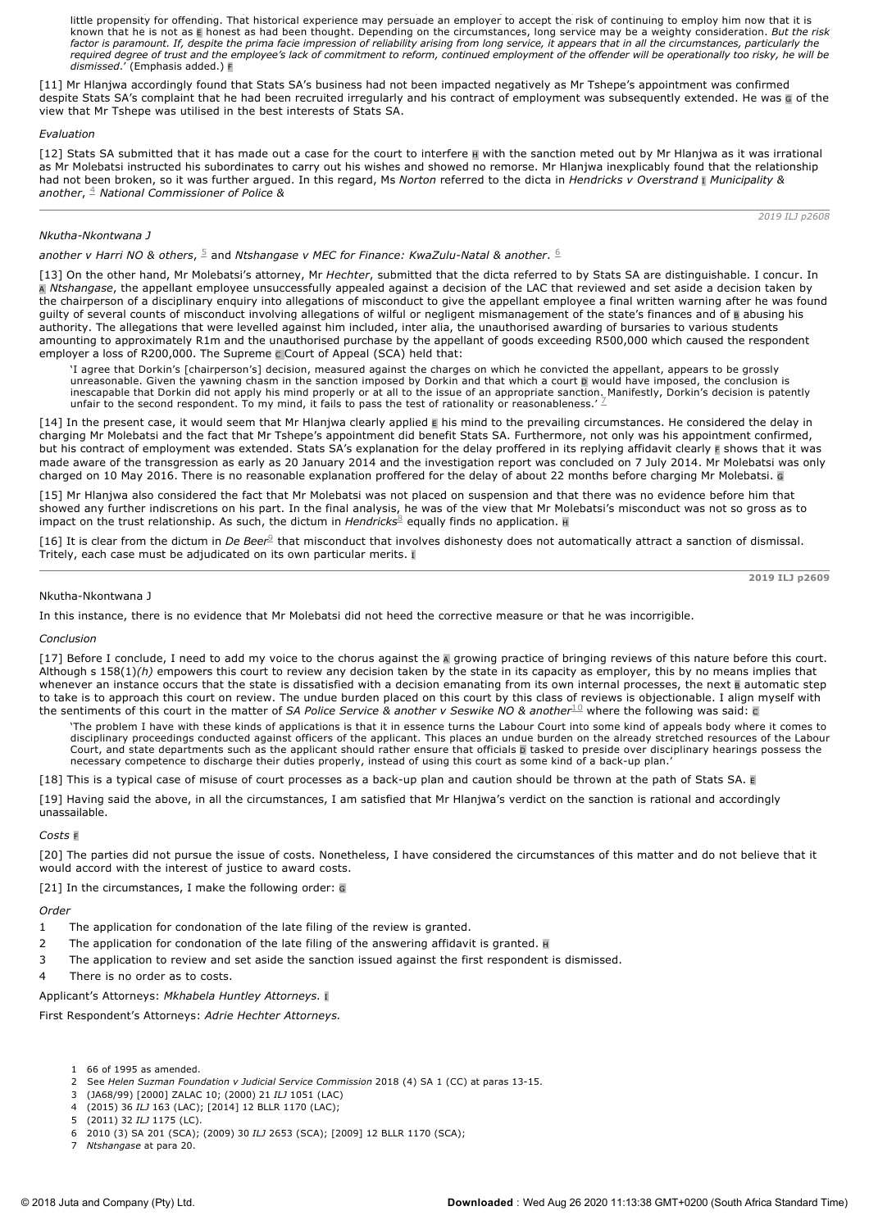*whether an employee is likely to repeat his misdemeanour.* An employee who has long and faithfully served his employer has shown that he has little propensity for offending. That historical experience may persuade an employer to accept the risk of continuing to employ him now that it is known that he is not as E honest as had been thought. Depending on the circumstances, long service may be a weighty consideration. *But the risk factor is paramount. If, despite the prima facie impression of reliability arising from long service, it appears that in all the circumstances, particularly the required degree of trust and the employee's lack of commitment to reform, continued employment of the offender will be operationally too risky, he will be dismissed*.' (Emphasis added.) F

[11] Mr Hlanjwa accordingly found that Stats SA's business had not been impacted negatively as Mr Tshepe's appointment was confirmed despite Stats SA's complaint that he had been recruited irregularly and his contract of employment was subsequently extended. He was G of the view that Mr Tshepe was utilised in the best interests of Stats SA.

#### *Evaluation*

[12] Stats SA submitted that it has made out a case for the court to interfere **H** with the sanction meted out by Mr Hlanjwa as it was irrational as Mr Molebatsi instructed his subordinates to carry out his wishes and showed no remorse. Mr Hlanjwa inexplicably found that the relationship had not been broken, so it was further argued. In this regard, Ms *Norton* referred to the dicta in *Hendricks v Overstrand* <sup>I</sup> *Municipality & another*, *National Commissioner of Police &* 4

# *Nkutha-Nkontwana 1*

another v Harri NO & others, <sup>5</sup> and Ntshangase v MEC for Finance: KwaZulu-Natal & another. <sup>6</sup>

[13] On the other hand, Mr Molebatsi's attorney, Mr *Hechter*, submitted that the dicta referred to by Stats SA are distinguishable. I concur. In A *Ntshangase*, the appellant employee unsuccessfully appealed against a decision of the LAC that reviewed and set aside a decision taken by the chairperson of a disciplinary enquiry into allegations of misconduct to give the appellant employee a final written warning after he was found guilty of several counts of misconduct involving allegations of wilful or negligent mismanagement of the state's finances and of B abusing his authority. The allegations that were levelled against him included, inter alia, the unauthorised awarding of bursaries to various students amounting to approximately R1m and the unauthorised purchase by the appellant of goods exceeding R500,000 which caused the respondent employer a loss of R200,000. The Supreme c Court of Appeal (SCA) held that:

'I agree that Dorkin's [chairperson's] decision, measured against the charges on which he convicted the appellant, appears to be grossly unreasonable. Given the yawning chasm in the sanction imposed by Dorkin and that which a court D would have imposed, the conclusion is inescapable that Dorkin did not apply his mind properly or at all to the issue of an appropriate sanction. Manifestly, Dorkin's decision is patently unfair to the second respondent. To my mind, it fails to pass the test of rationality or reasonableness.'  $\mathbb Z$ 

[14] In the present case, it would seem that Mr Hlanjwa clearly applied **E** his mind to the prevailing circumstances. He considered the delay in charging Mr Molebatsi and the fact that Mr Tshepe's appointment did benefit Stats SA. Furthermore, not only was his appointment confirmed, but his contract of employment was extended. Stats SA's explanation for the delay proffered in its replying affidavit clearly **F** shows that it was made aware of the transgression as early as 20 January 2014 and the investigation report was concluded on 7 July 2014. Mr Molebatsi was only charged on 10 May 2016. There is no reasonable explanation proffered for the delay of about 22 months before charging Mr Molebatsi. <sup>G</sup>

[15] Mr Hlanjwa also considered the fact that Mr Molebatsi was not placed on suspension and that there was no evidence before him that showed any further indiscretions on his part. In the final analysis, he was of the view that Mr Molebatsi's misconduct was not so gross as to impact on the trust relationship. As such, the dictum in *Hendricks*<sup>8</sup> equally finds no application. **H** 

[16] It is clear from the dictum in *De Beer<sup>9</sup>* that misconduct that involves dishonesty does not automatically attract a sanction of dismissal. Tritely, each case must be adjudicated on its own particular merits. I

**2019 ILJ p2609**

*2019 ILJ p2608*

# Nkutha-Nkontwana J

In this instance, there is no evidence that Mr Molebatsi did not heed the corrective measure or that he was incorrigible.

#### *Conclusion*

[17] Before I conclude, I need to add my voice to the chorus against the A growing practice of bringing reviews of this nature before this court. Although s 158(1)*(h)* empowers this court to review any decision taken by the state in its capacity as employer, this by no means implies that whenever an instance occurs that the state is dissatisfied with a decision emanating from its own internal processes, the next B automatic step to take is to approach this court on review. The undue burden placed on this court by this class of reviews is objectionable. I align myself with the sentiments of this court in the matter of *SA Police Service & another v Seswike NO & another*  $^{10}$  where the following was said: c

'The problem I have with these kinds of applications is that it in essence turns the Labour Court into some kind of appeals body where it comes to disciplinary proceedings conducted against officers of the applicant. This places an undue burden on the already stretched resources of the Labour Court, and state departments such as the applicant should rather ensure that officials p tasked to preside over disciplinary hearings possess the necessary competence to discharge their duties properly, instead of using this court as some kind of a back-up plan.

[18] This is a typical case of misuse of court processes as a back-up plan and caution should be thrown at the path of Stats SA.

[19] Having said the above, in all the circumstances, I am satisfied that Mr Hlanjwa's verdict on the sanction is rational and accordingly unassailable.

#### *Costs* <sup>F</sup>

[20] The parties did not pursue the issue of costs. Nonetheless, I have considered the circumstances of this matter and do not believe that it would accord with the interest of justice to award costs.

[21] In the circumstances, I make the following order: G

# *Order*

- 1 The application for condonation of the late filing of the review is granted.
- 2 The application for condonation of the late filing of the answering affidavit is granted.  $\overline{H}$
- 3 The application to review and set aside the sanction issued against the first respondent is dismissed.
- 4 There is no order as to costs.
- Applicant's Attorneys: *Mkhabela Huntley Attorneys.* <sup>I</sup>

First Respondent's Attorneys: *Adrie Hechter Attorneys.*

- 1 66 of 1995 as amended.
- See *Helen Suzman Foundation v Judicial Service Commission* 2018 (4) SA 1 (CC) at paras 13-15.
- 3 (JA68/99) [2000] ZALAC 10; (2000) 21 *ILJ* 1051 (LAC)
- 4 (2015) 36 *ILJ* 163 (LAC); [2014] 12 BLLR 1170 (LAC);
- 5 (2011) 32 *ILJ* 1175 (LC).
- 6 2010 (3) SA 201 (SCA); (2009) 30 *ILJ* 2653 (SCA); [2009] 12 BLLR 1170 (SCA); 7 *Ntshangase* at para 20.